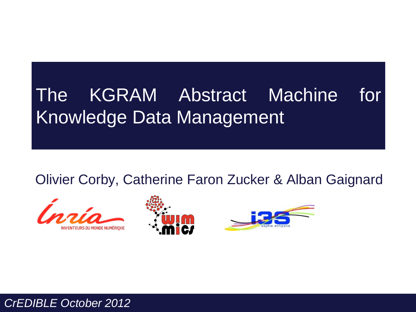# The KGRAM Abstract Machine for Knowledge Data Management

Olivier Corby, Catherine Faron Zucker & Alban Gaignard







*CrEDIBLE October 2012*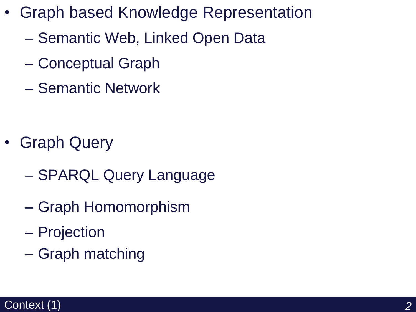- Graph based Knowledge Representation
	- Semantic Web, Linked Open Data
	- Conceptual Graph
	- Semantic Network

- Graph Query
	- SPARQL Query Language
	- Graph Homomorphism
	- Projection
	- Graph matching

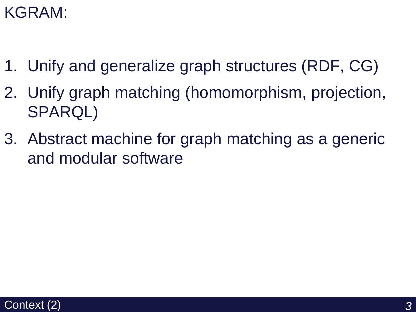## KGRAM:

- 1. Unify and generalize graph structures (RDF, CG)
- 2. Unify graph matching (homomorphism, projection, SPARQL)
- 3. Abstract machine for graph matching as a generic and modular software

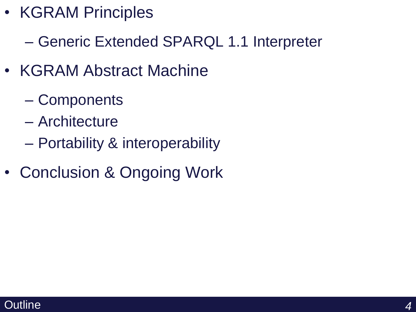- KGRAM Principles
	- Generic Extended SPARQL 1.1 Interpreter
- KGRAM Abstract Machine
	- Components
	- Architecture
	- Portability & interoperability
- Conclusion & Ongoing Work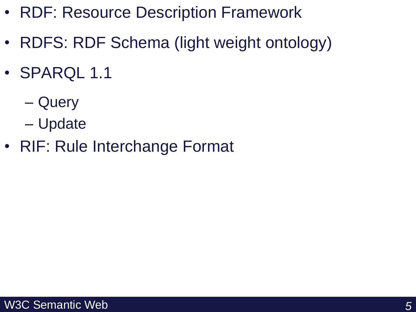- RDF: Resource Description Framework
- RDFS: RDF Schema (light weight ontology)
- SPARQL 1.1
	- Query
	- Update
- RIF: Rule Interchange Format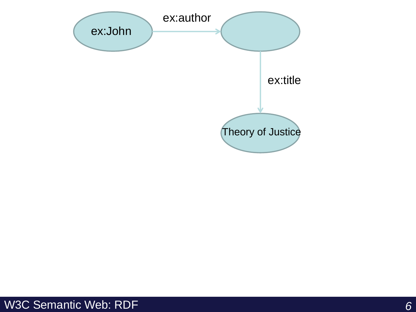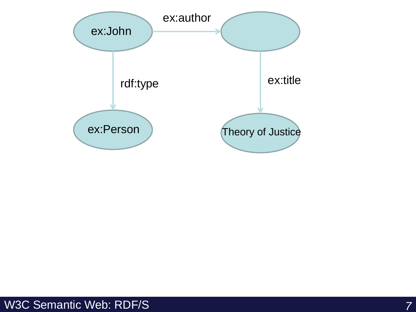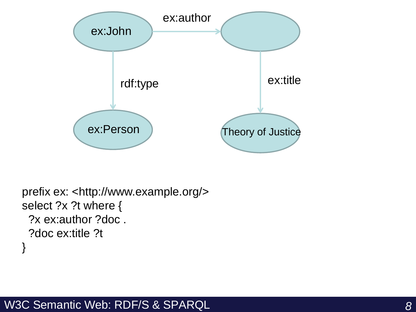

```
prefix ex: <http://www.example.org/>
select ?x ?t where {
  ?x ex:author ?doc .
  ?doc ex:title ?t
}
```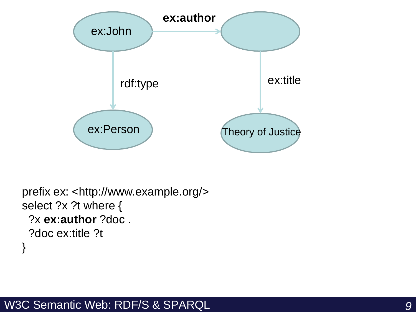

```
prefix ex: <http://www.example.org/>
select ?x ?t where {
  ?x ex:author ?doc .
  ?doc ex:title ?t
}
```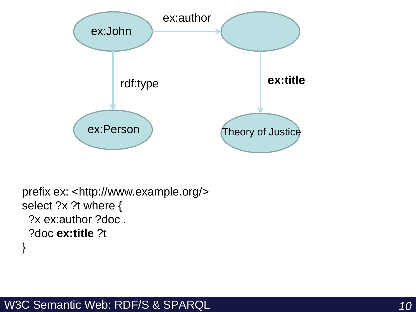

```
prefix ex: <http://www.example.org/>
select ?x ?t where {
  ?x ex:author ?doc .
  ?doc ex:title ?t
}
```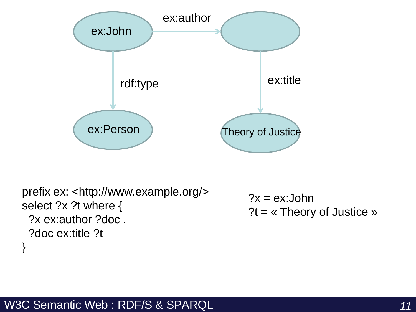

```
prefix ex: <http://www.example.org/>
select ?x ?t where {
  ?x ex:author ?doc .
  ?doc ex:title ?t
}
                                              ?x = ex:John?t = « Theory of Justice »
```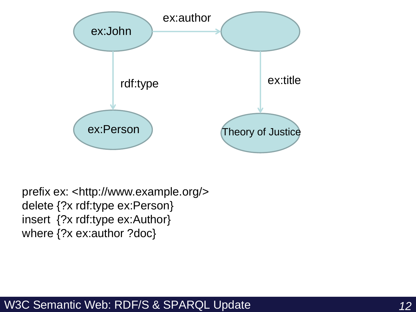

prefix ex: <http://www.example.org/> delete {?x rdf:type ex:Person} insert {?x rdf:type ex:Author} where {?x ex:author ?doc}

#### W3C Semantic Web: RDF/S & SPARQL Update *12*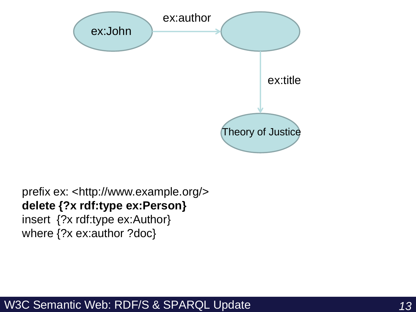

### prefix ex: <http://www.example.org/> **delete {?x rdf:type ex:Person}**

insert {?x rdf:type ex:Author} where {?x ex:author ?doc}

#### W3C Semantic Web: RDF/S & SPARQL Update *13*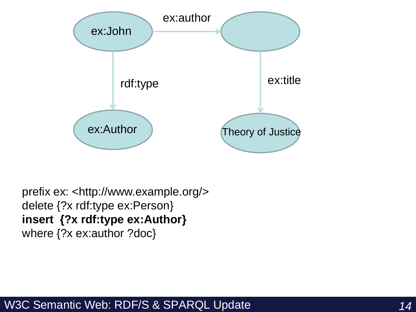

prefix ex: <http://www.example.org/> delete {?x rdf:type ex:Person} **insert {?x rdf:type ex:Author}** where {?x ex:author ?doc}

#### W3C Semantic Web: RDF/S & SPARQL Update *14*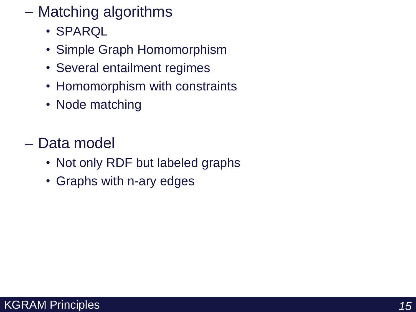- Matching algorithms
	- SPARQL
	- Simple Graph Homomorphism
	- Several entailment regimes
	- Homomorphism with constraints
	- Node matching
- Data model
	- Not only RDF but labeled graphs
	- Graphs with n-ary edges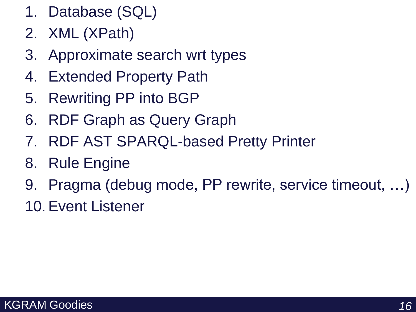- 1. Database (SQL)
- 2. XML (XPath)
- 3. Approximate search wrt types
- 4. Extended Property Path
- 5. Rewriting PP into BGP
- 6. RDF Graph as Query Graph
- 7. RDF AST SPARQL-based Pretty Printer
- 8. Rule Engine
- 9. Pragma (debug mode, PP rewrite, service timeout, …)
- 10.Event Listener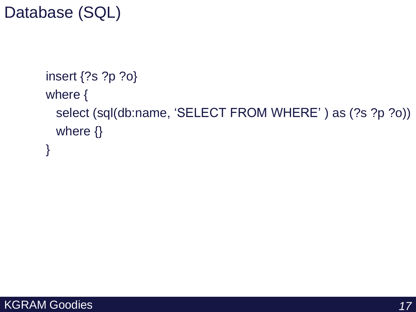## Database (SQL)

```
insert {?s ?p ?o}
where {
 select (sql(db:name, 'SELECT FROM WHERE' ) as (?s ?p ?o))
 where {}
}
```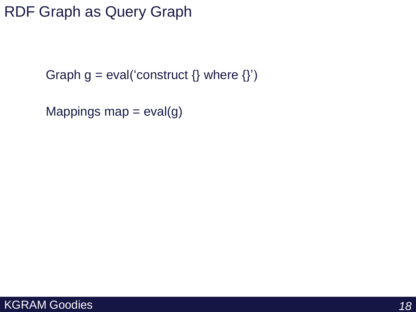### RDF Graph as Query Graph

Graph  $g = eval('construct \{} where \{}'')$ 

Mappings map  $=$  eval(g)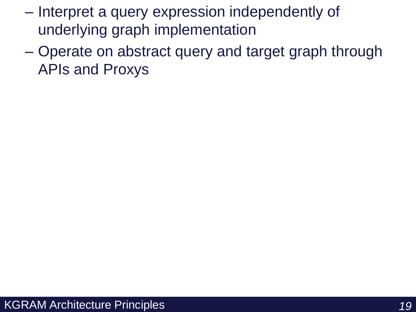- Interpret a query expression independently of underlying graph implementation
- Operate on abstract query and target graph through APIs and Proxys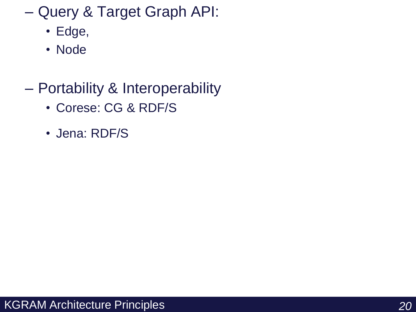– Query & Target Graph API:

- Edge,
- Node
- Portability & Interoperability
	- Corese: CG & RDF/S
	- Jena: RDF/S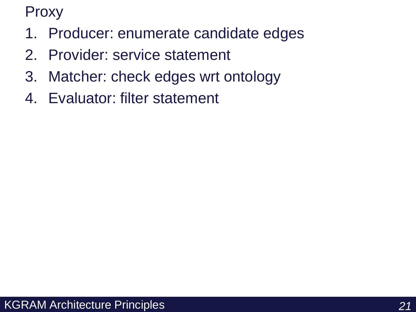Proxy

- 1. Producer: enumerate candidate edges
- 2. Provider: service statement
- 3. Matcher: check edges wrt ontology
- 4. Evaluator: filter statement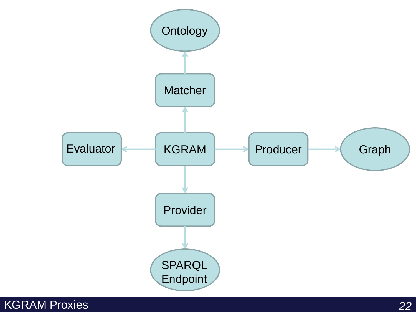

### KGRAM Proxies *22*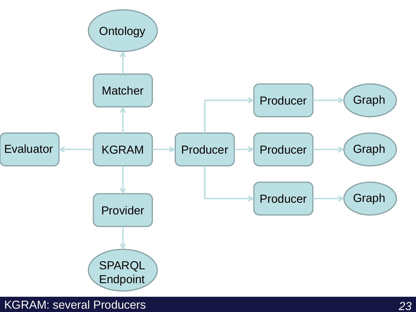

KGRAM: several Producers *23*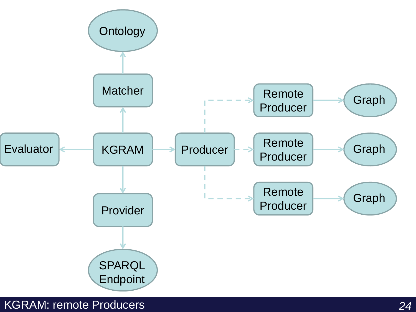

KGRAM: remote Producers *24*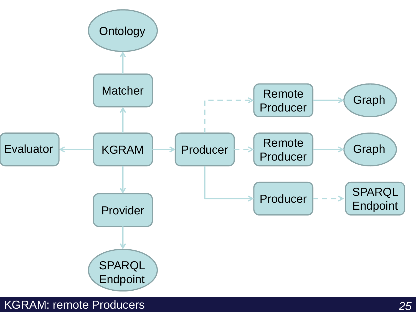

KGRAM: remote Producers *25*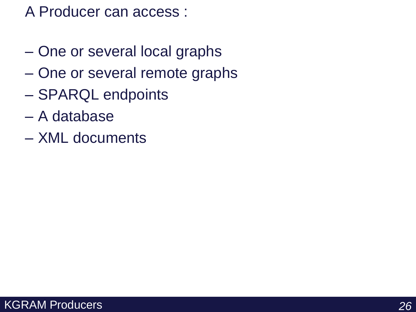### A Producer can access :

- One or several local graphs
- One or several remote graphs
- SPARQL endpoints
- A database
- XML documents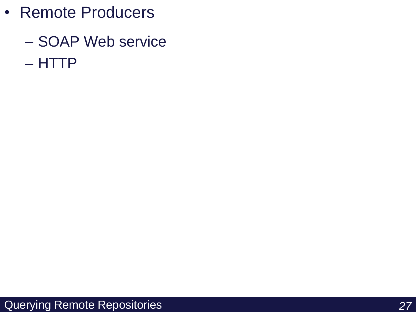- Remote Producers
	- SOAP Web service – HTTP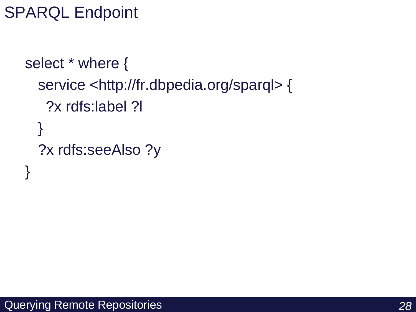```
SPARQL Endpoint
```

```
select * where {
  service <http://fr.dbpedia.org/sparql> {
   ?x rdfs:label ?l
  }
  ?x rdfs:seeAlso ?y
}
```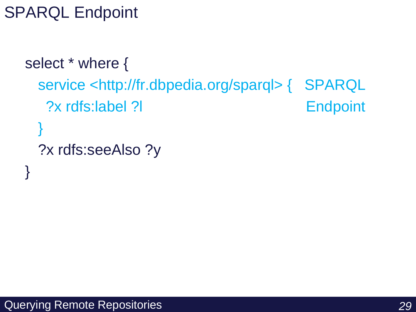SPARQL Endpoint

```
select * where {
 service <http://fr.dbpedia.org/sparql> { SPARQL
  ?x rdfs:label ?l Endpoint
 }
 ?x rdfs:seeAlso ?y
}
```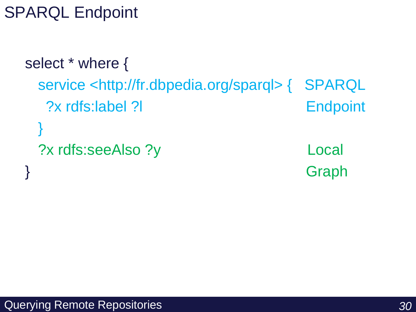SPARQL Endpoint

```
select * where {
 service <http://fr.dbpedia.org/sparql> { SPARQL
 ?x rdfs:label ?l Endpoint
 }
 ?x rdfs:seeAlso ?y Local 
} Graph
```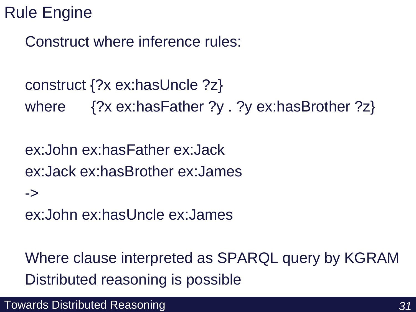## Rule Engine

->

Construct where inference rules:

construct {?x ex:hasUncle ?z} where {?x ex:hasFather ?y . ?y ex:hasBrother ?z}

ex:John ex:hasFather ex:Jack ex:Jack ex:hasBrother ex:James

ex:John ex:hasUncle ex:James

Where clause interpreted as SPARQL query by KGRAM Distributed reasoning is possible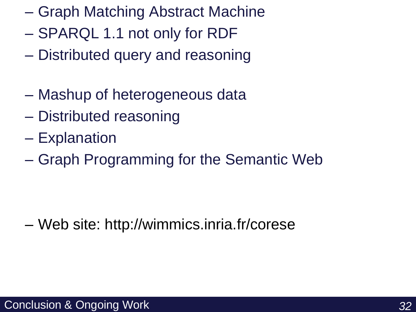- Graph Matching Abstract Machine
- SPARQL 1.1 not only for RDF
- Distributed query and reasoning
- Mashup of heterogeneous data
- Distributed reasoning
- Explanation
- Graph Programming for the Semantic Web

– Web site: http://wimmics.inria.fr/corese